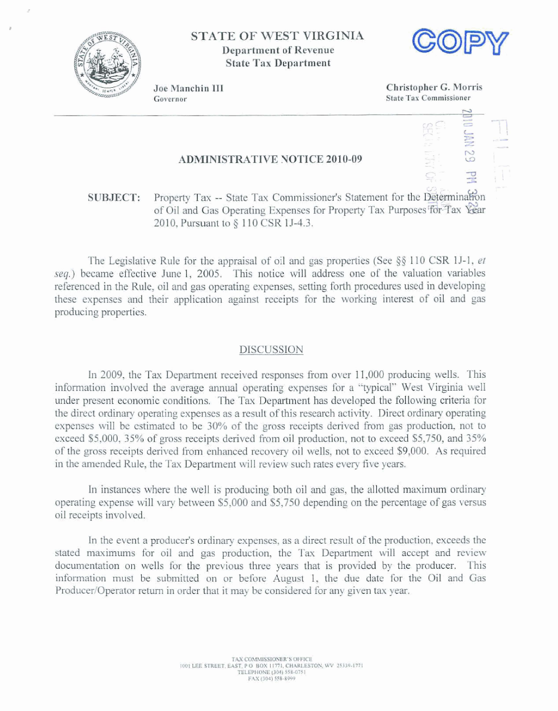

**STATE OF WEST VIRGINIA Department of Revenue State Tax Department** 



Joe Manchin III Governor

**Chhtopher** *G.* **Morris State Tax Commissioner** 

### **ADMINISTRATIVE NOTICE 2010-09**

## **6.;** .- - 7 **SUBJECT:** Property Tax -- State Tax Commissioner's Statement for the Determinal  $\alpha$  Oil and Gas Operating Expenses for Property Tax Purposes for Tax Year **2810, Pursuant to** § **1** 10 **CSR 15-4.3.**

**The** Legislative Rule for the **appraisal** of oil **and** gas **properties (See \$5 110** CSR IJ-1, *et*  seg.) became effective June 1, 2005. This notice **will** address one of the valuation **variables**  referenced in the Rule, oil **and** gas operating **expenses, setting** forth **procedures** used **in developing these expenses:** and their application against receipts for the working interest **of** oil and gas producing properties.

#### **DISCUSSION**

In 2009, **the** Tax **Department received responses from** over **1** 1,000 producing wells. This information **involved the average** mud operating **expenses** for a '"typical" **West Virginia we11**  under present economic conditions, The Tax Department has developed the following **criteria** for the direct **ordinmy operating expenses as** a result of this **research activity.** Direct ordinary **operating expenses** wilI **be estimated to** be **30% of the** *gross* receipts **derived** from **gas production, not to exceed \$5,000, 35% of gross receipts derived from oil production, not to exceed \$5,750, and 35%** of **the goss receipts** derived from **enhanced** recovery ail **wells,** not to **exceed \$9,000. As required**  in the amended Rule, the Tax Department will review such rates every five years.

In instances where the well is producing both oil and gas, the allotted maximum ordinary **operating expense** will **vary** between \$5,000 and **\$5,750** depending an the **percentage** of gas **versus**  oil receipts involved.

In **the event** a **produceis ordinary expenses, as** a direct result of the production, **exceeds the stated maximums for** oil **and** gas production, the Tax Deparlment will **accept and review**  documentation **on** wells for the previous three years that is provided by the producer. This **information** must be submitted on or before August 1, the **due** date for **the** Oil and Gas Producer/Operator return in order that it may be considered for any given tax year.